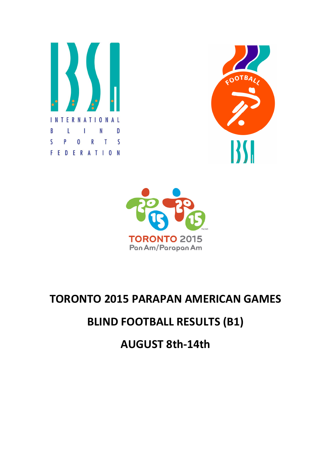





## TORONTO 2015 PARAPAN AMERICAN GAMES

## BLIND FOOTBALL RESULTS (B1)

AUGUST 8th-14th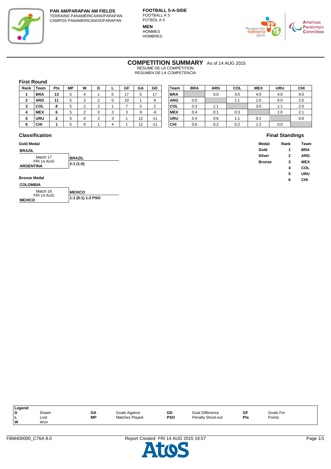

**FOOTBALL 5-A-SIDE** FOOTBALL À 5 FÚTBOL A 5 **MEN HOMMES HOMBRES** 



**Final Standings**

**COMPETITION SUMMARY** As of 14 AUG 2015

RÉSUMÉ DE LA COMPÉTITION RESUMEN DE LA COMPETENCIA

#### **First Round**

| Rank      | Team       | <b>Pts</b> | <b>MP</b> | W | D      | GF     | GA | <b>GD</b> | Team       | <b>BRA</b> | ARG | COL | <b>MEX</b> | URU | <b>CHI</b> |
|-----------|------------|------------|-----------|---|--------|--------|----|-----------|------------|------------|-----|-----|------------|-----|------------|
|           | <b>BRA</b> | 13         | 5.        | 4 |        | 17     |    | 17        | <b>BRA</b> |            | 0:0 | 3:0 | 4:0        | 4:0 | 6:0        |
| $\bullet$ | <b>ARG</b> | 11         |           |   | $\sim$ | 10     |    |           | <b>ARG</b> | 0:0        |     | 1:1 | 1:0        | 6:0 | 2:0        |
| 3         | COL        | 8          |           |   | $\sim$ |        | ັ  | $\sim$    | <b>COL</b> | 0:3        | 1:1 |     | 3:0        | 1:1 | 2:0        |
| 4         | <b>MEX</b> | 6          |           |   |        | ີ<br>ٮ | 9  | -6        | <b>MEX</b> | 0:4        | 0:1 | 0:3 |            | 1:0 | 2:1        |
|           | URU        | ◠<br>۷.    |           |   | $\sim$ |        | 12 | $-11$     | <b>URU</b> | 0:4        | 0:6 | 1:1 | 0:1        |     | 0:0        |
| 6         | <b>CHI</b> |            |           |   |        |        | 12 | $-11$     | CHI        | 0:6        | 0:2 | 0:2 | 1:2        | 0:0 |            |

| Team       | <b>BRA</b>      | <b>ARG</b> | <b>COL</b> | <b>MEX</b> | <b>URU</b> | CHI |
|------------|-----------------|------------|------------|------------|------------|-----|
| BRA        |                 | 0:0        | 3:0        | 4:0        | 4:0        | 6:0 |
| ARG        | 0:0             |            | 1:1        | 1:0        | 6:0        | 2:0 |
| COL        | 0:3             | 1:1        |            | 3:0        | 1:1        | 2:0 |
| <b>MEX</b> | 0:4             | 0:1        | 0:3        |            | 1:0        | 2:1 |
| URU        | 0:4             | 0:6        | 1:1        | 0:1        |            | 0:0 |
| CНI        | 0 <sup>-6</sup> | 0.2        | 0.2        | 1.2        | 00         |     |

#### **Classification**

| <b>Gold Medal</b>   |               | Medal         | Rank | <b>Team</b> |
|---------------------|---------------|---------------|------|-------------|
| <b>BRAZIL</b>       |               | Gold          |      | <b>BRA</b>  |
| Match 17            | <b>BRAZIL</b> | Silver        | 2    | <b>ARG</b>  |
| FRI 14 AUG          | 2:1(1:0)      | <b>Bronze</b> | 3    | <b>MEX</b>  |
| <b>ARGENTINA</b>    |               |               | 4    | COL         |
|                     |               |               | 5    | URU         |
| <b>Bronze Medal</b> |               |               | 6    | CHI         |
| COLOMBIA            |               |               |      |             |

| <b>COLOMBIA</b> |  |
|-----------------|--|
|                 |  |

| Match 16                    | <b>IMEXICO</b>    |
|-----------------------------|-------------------|
| FRI 14 AUG<br><b>MEXICO</b> | 1:1 (0:1) 1:2 PSO |

 $\overline{\phantom{0}}$ 

| Legend: |       |           |                |            |                        |            |           |
|---------|-------|-----------|----------------|------------|------------------------|------------|-----------|
| ID.     | Drawn | GА        | Goals Against  | GD         | <b>Goal Difference</b> | GF         | Goals For |
|         | Lost  | <b>MP</b> | Matches Played | <b>PSO</b> | Penalty Shoot-out      | <b>Pts</b> | Points    |
| ١w      | Won   |           |                |            |                        |            |           |
|         |       |           |                |            |                        |            |           |

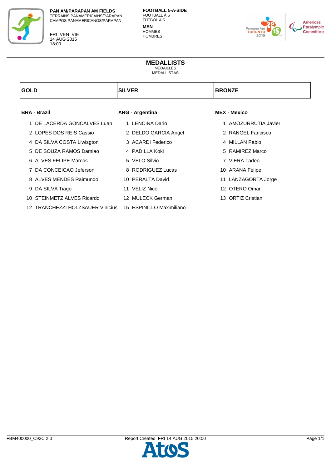

FRI VEN VIE 14 AUG 2015 18:00

**FOOTBALL 5-A-SIDE** FOOTBALL À 5 FÚTBOL A 5 **MEN HOMMES HOMBRES** 



### **MEDALLISTS** MÉDAILLÉS

MEDALLISTAS

| <b>GOLD</b>                                               | <b>SILVER</b>          | <b>BRONZE</b>        |
|-----------------------------------------------------------|------------------------|----------------------|
| <b>BRA - Brazil</b>                                       |                        | <b>MEX - Mexico</b>  |
|                                                           | <b>ARG - Argentina</b> |                      |
| DE LACERDA GONCALVES Luan<br>1                            | 1 LENCINA Dario        | 1 AMOZURRUTIA Javier |
| 2 LOPES DOS REIS Cassio                                   | 2 DELDO GARCIA Angel   | 2 RANGEL Fancisco    |
| 4 DA SILVA COSTA Liwisgton                                | 3 ACARDI Federico      | 4 MILLAN Pablo       |
| 5 DE SOUZA RAMOS Damiao                                   | 4 PADILLA Koki         | 5 RAMIREZ Marco      |
| 6 ALVES FELIPE Marcos                                     | 5 VELO Silvio          | 7 VIERA Tadeo        |
| 7 DA CONCEICAO Jeferson                                   | 8 RODRIGUEZ Lucas      | 10 ARANA Felipe      |
| 8 ALVES MENDES Raimundo                                   | 10 PERALTA David       | 11 LANZAGORTA Jorge  |
| 9 DA SILVA Tiago                                          | 11 VELIZ Nico          | 12 OTERO Omar        |
| 10 STEINMETZ ALVES Ricardo                                | 12 MULECK German       | 13 ORTIZ Cristian    |
| 12 TRANCHEZZI HOLZSAUER Vinicius 15 ESPINILLO Maximiliano |                        |                      |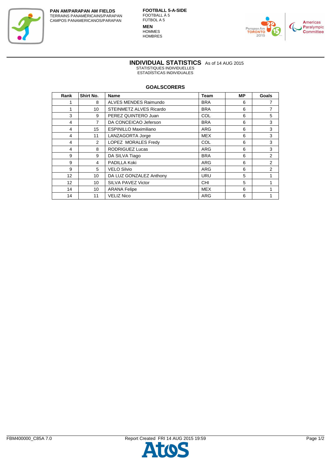

**FOOTBALL 5-A-SIDE** FOOTBALL À 5 FÚTBOL A 5 **MEN HOMMES HOMBRES** 



**INDIVIDUAL STATISTICS** As of 14 AUG 2015 STATISTIQUES INDIVIDUELLES ESTADÍSTICAS INDIVIDUALES

#### **GOALSCORERS**

| Rank              | <b>Shirt No.</b> | Name                         | Team       | MР | Goals |
|-------------------|------------------|------------------------------|------------|----|-------|
|                   | 8                | ALVES MENDES Raimundo        | <b>BRA</b> | 6  | 7     |
| 1                 | 10               | STEINMETZ ALVES Ricardo      | <b>BRA</b> | 6  | 7     |
| 3                 | 9                | PEREZ QUINTERO Juan          | <b>COL</b> | 6  | 5     |
| 4                 | 7                | DA CONCEICAO Jeferson        | <b>BRA</b> | 6  | 3     |
| 4                 | 15               | <b>ESPINILLO Maximiliano</b> | ARG        | 6  | 3     |
| 4                 | 11               | LANZAGORTA Jorge             | <b>MEX</b> | 6  | 3     |
| 4                 | $\overline{2}$   | LOPEZ MORALES Fredy          | <b>COL</b> | 6  | 3     |
| 4                 | 8                | RODRIGUEZ Lucas              | <b>ARG</b> | 6  | 3     |
| 9                 | 9                | DA SILVA Tiago               | <b>BRA</b> | 6  | 2     |
| 9                 | 4                | PADILLA Koki                 | ARG        | 6  | 2     |
| 9                 | 5                | <b>VELO Silvio</b>           | <b>ARG</b> | 6  | 2     |
| $12 \overline{ }$ | 10               | DA LUZ GONZALEZ Anthony      | <b>URU</b> | 5  | 1     |
| 12 <sup>°</sup>   | 10               | SILVA PAVEZ Victor           | <b>CHI</b> | 5  | 1     |
| 14                | 10               | <b>ARANA Felipe</b>          | <b>MEX</b> | 6  | 1     |
| 14                | 11               | <b>VELIZ Nico</b>            | ARG        | 6  | 1     |

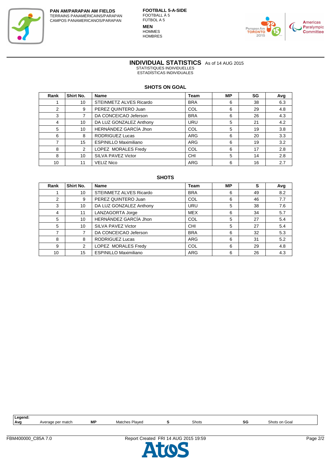

**FOOTBALL 5-A-SIDE** FOOTBALL À 5 FÚTBOL A 5 **MEN HOMMES HOMBRES** 



**INDIVIDUAL STATISTICS** As of 14 AUG 2015 STATISTIQUES INDIVIDUELLES

ESTADÍSTICAS INDIVIDUALES

#### **SHOTS ON GOAL**

| Rank | Shirt No.       | <b>Name</b>                  | <b>Team</b> | <b>MP</b> | SG | Avg |
|------|-----------------|------------------------------|-------------|-----------|----|-----|
|      | 10 <sup>1</sup> | STEINMETZ ALVES Ricardo      | <b>BRA</b>  | 6         | 38 | 6.3 |
| 2    | 9               | PEREZ QUINTERO Juan          | <b>COL</b>  | 6         | 29 | 4.8 |
| 3    |                 | DA CONCEICAO Jeferson        | <b>BRA</b>  | 6         | 26 | 4.3 |
| 4    | 10              | DA LUZ GONZALEZ Anthony      | <b>URU</b>  | 5         | 21 | 4.2 |
| 5    | 10              | HERNÁNDEZ GARCÍA Jhon        | <b>COL</b>  | 5         | 19 | 3.8 |
| 6    | 8               | <b>RODRIGUEZ Lucas</b>       | ARG         | 6         | 20 | 3.3 |
| ⇁    | 15              | <b>ESPINILLO Maximiliano</b> | ARG         | 6         | 19 | 3.2 |
| 8    | 2               | LOPEZ MORALES Fredy          | COL         | 6         | 17 | 2.8 |
| 8    | 10              | SILVA PAVEZ Victor           | CHI         | 5         | 14 | 2.8 |
| 10   | 11              | <b>VELIZ Nico</b>            | <b>ARG</b>  | 6         | 16 | 2.7 |

#### **SHOTS**

| Rank | Shirt No.       | <b>Name</b>                    | <b>Team</b> | <b>MP</b> | s  | Avg |
|------|-----------------|--------------------------------|-------------|-----------|----|-----|
|      | 10 <sup>1</sup> | <b>STEINMETZ ALVES Ricardo</b> | <b>BRA</b>  | 6         | 49 | 8.2 |
| 2    | 9               | PEREZ QUINTERO Juan            | COL         | 6         | 46 | 7.7 |
| 3    | 10              | DA LUZ GONZALEZ Anthony        | <b>URU</b>  | 5         | 38 | 7.6 |
| 4    | 11              | LANZAGORTA Jorge               | <b>MEX</b>  | 6         | 34 | 5.7 |
| 5    | 10              | HERNÁNDEZ GARCÍA Jhon          | COL         | 5         | 27 | 5.4 |
| 5    | 10              | SILVA PAVEZ Victor             | CHI         | 5         | 27 | 5.4 |
|      |                 | DA CONCEICAO Jeferson          | <b>BRA</b>  | 6         | 32 | 5.3 |
| 8    | 8               | <b>RODRIGUEZ Lucas</b>         | ARG         | 6         | 31 | 5.2 |
| 9    | 2               | LOPEZ MORALES Fredy            | COL         | 6         | 29 | 4.8 |
| 10   | 15              | <b>ESPINILLO Maximiliano</b>   | <b>ARG</b>  | 6         | 26 | 4.3 |

| Legend:    |                        |    |                   |       |        |               |
|------------|------------------------|----|-------------------|-------|--------|---------------|
| <b>Avo</b> | per match ?<br>Average | МP | Plaved<br>Matches | Shots | <br>ຈບ | Shots on Goal |
|            |                        |    |                   |       |        |               |

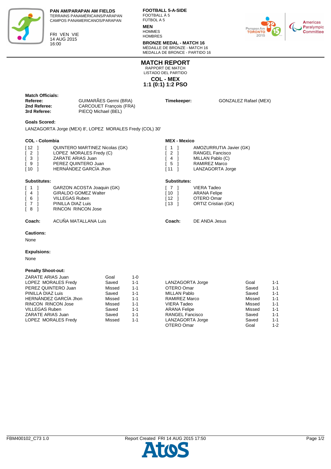

FRI VEN VIE 14 AUG 2015 16:00

**FOOTBALL 5-A-SIDE** FOOTBALL À 5 FÚTBOL A 5

## **MEN**

**HOMMES HOMBRES** 

**BRONZE MEDAL - MATCH 16** MÉDAILLE DE BRONZE - MATCH 16 MEDALLA DE BRONCE - PARTIDO 16

[ 12 ] OTERO Omar<br>[ 13 ] ORTIZ Cristian

ORTIZ Cristian (GK)



**COL - MEX 1:1 (0:1) 1:2 PSO MATCH REPORT** RAPPORT DE MATCH LISTADO DEL PARTIDO

| <b>Match Officials:</b><br>Referee:<br>2nd Referee:<br>3rd Referee: | GUIMARÃES Germi (BRA)<br><b>CARCOUET Francois (FRA)</b><br>PIECQ Michael (BEL) | Timekeeper: | <b>GONZALEZ Rafael (MEX)</b> |
|---------------------------------------------------------------------|--------------------------------------------------------------------------------|-------------|------------------------------|
| <b>Goals Scored:</b>                                                | LANZAGORTA Jorge (MEX) 8', LOPEZ MORALES Fredy (COL) 30'                       |             |                              |

#### **COL - Colombia**

| <b>COL - Colombia</b>                                                                |                                                                                                                                       | <b>MEX - Mexico</b>                   |                                                                                                     |
|--------------------------------------------------------------------------------------|---------------------------------------------------------------------------------------------------------------------------------------|---------------------------------------|-----------------------------------------------------------------------------------------------------|
| $\sqrt{12}$<br>$\begin{bmatrix} 2 \end{bmatrix}$<br>$\sqrt{3}$<br>I 9<br>$\sqrt{10}$ | <b>QUINTERO MARTINEZ Nicolas (GK)</b><br>LOPEZ MORALES Fredy (C)<br>ZARATE ARIAS Juan<br>PEREZ QUINTERO Juan<br>HERNÁNDEZ GARCIA Jhon | ſ 1<br>$\sqrt{2}$<br>4<br>I 5<br>[ 11 | AMOZURRUTIA Javier (GK)<br>RANGEL Fancisco<br>MILLAN Pablo (C)<br>RAMIREZ Marco<br>LANZAGORTA Jorge |
| <b>Substitutes:</b>                                                                  |                                                                                                                                       | Substitutes:                          |                                                                                                     |
| I 1                                                                                  | GARZON ACOSTA Joaquin (GK)                                                                                                            |                                       | VIERA Tadeo                                                                                         |
| $\left[ 4 \right]$                                                                   | <b>GIRALDO GOMEZ Walter</b>                                                                                                           | ſ 10                                  | <b>ARANA Felipe</b>                                                                                 |
| [ 6                                                                                  | <b>VILLEGAS Ruben</b>                                                                                                                 | [ 12                                  | OTERO Omar                                                                                          |

# [ 4 ] GIRALDO GOMEZ Walter

| 141                               | GIRALDO GOMEZ WAITER |
|-----------------------------------|----------------------|
| 161                               | VILLEGAS Ruben       |
| $\begin{bmatrix} 7 \end{bmatrix}$ | PINILLA DIAZ Luis    |
| $\begin{bmatrix} 8 \end{bmatrix}$ | RINCON RINCON Jose   |
|                                   |                      |

#### **Coach:** ACUÑA MATALLANA Luis **Coach:** DE ANDA Jesus

#### **Cautions:**

None

#### **Expulsions:**

None

#### **Penalty Shoot-out:**

| ZARATE ARIAS Juan         | Goal   | $1 - 0$ |                        |        |         |
|---------------------------|--------|---------|------------------------|--------|---------|
| LOPEZ MORALES Fredy       | Saved  | $1 - 1$ | LANZAGORTA Jorge       | Goal   | $1 - 1$ |
| PEREZ QUINTERO Juan       | Missed | $1 - 1$ | OTERO Omar             | Saved  | $1 - 1$ |
| PINILLA DIAZ Luis         | Saved  | $1 - 1$ | MILLAN Pablo           | Saved  | $1 - 1$ |
| HERNÁNDEZ GARCÍA Jhon     | Missed | $1 - 1$ | RAMIREZ Marco          | Missed | $1 - 1$ |
| <b>RINCON RINCON Jose</b> | Missed | $1 - 1$ | <b>VIERA Tadeo</b>     | Missed | $1 - 1$ |
| <b>VILLEGAS Ruben</b>     | Saved  | $1 - 1$ | <b>ARANA Felipe</b>    | Missed | $1 - 1$ |
| ZARATE ARIAS Juan         | Saved  | $1 - 1$ | <b>RANGEL Fancisco</b> | Saved  | $1 - 1$ |
| LOPEZ MORALES Fredy       | Missed | $1 - 1$ | LANZAGORTA Jorge       | Saved  | $1 - 1$ |
|                           |        |         | OTERO Omar             | Goal   | $1 - 2$ |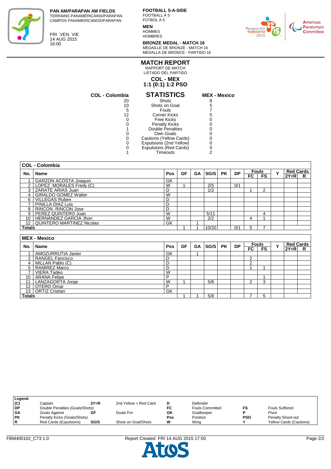

**PAN AM/PARAPAN AM FIELDS** TERRAINS PANAMÉRICAINS/PARAPAN CAMPOS PANAMERICANOS/PARAPAN

FRI VEN VIE 14 AUG 2015 16:00

**FOOTBALL 5-A-SIDE** FOOTBALL À 5 FÚTBOL A 5

### **MEN**

**HOMMES HOMBRES** 

**BRONZE MEDAL - MATCH 16** MÉDAILLE DE BRONZE - MATCH 16



MEDALLA DE BRONCE - PARTIDO 16 **MATCH REPORT**

RAPPORT DE MATCH LISTADO DEL PARTIDO

## **COL - MEX**

**1:1 (0:1) 1:2 PSO**

| MEX - Me |  |
|----------|--|

| <b>COL - Colombia</b> | <b>STATISTICS</b>       | <b>MEX - Mexico</b> |
|-----------------------|-------------------------|---------------------|
| 20                    | Shots                   | 8                   |
| 10                    | Shots on Goal           | 5                   |
| 5                     | Fouls                   |                     |
| 12                    | <b>Corner Kicks</b>     | 5                   |
|                       | <b>Free Kicks</b>       |                     |
|                       | <b>Penalty Kicks</b>    |                     |
|                       | <b>Double Penalties</b> |                     |
|                       | Own Goals               |                     |
|                       | Cautions (Yellow Cards) |                     |
|                       | Expulsions (2nd Yellow) |                     |
|                       | Expulsions (Red Cards)  |                     |
|                       | Timeouts                |                     |

|                 | <b>COL - Colombia</b>        |     |    |           |       |           |           |     |              |              |        |                  |
|-----------------|------------------------------|-----|----|-----------|-------|-----------|-----------|-----|--------------|--------------|--------|------------------|
| No.             | <b>Name</b>                  | Pos | GF | <b>GA</b> | SG/S  | <b>PK</b> | <b>DP</b> |     | <b>Fouls</b> | Y            |        | <b>Red Cards</b> |
|                 |                              |     |    |           |       |           |           | FC. | <b>FS</b>    |              | $2Y=R$ | R                |
| 1               | <b>GARZON ACOSTA Joaquin</b> | GK  |    |           |       |           |           |     |              |              |        |                  |
| $\mathbf{2}$    | LOPEZ MORALES Fredy (C)      | W   |    |           | 2/5   |           | 0/1       |     |              |              |        |                  |
|                 | 3 ZARATE ARIAS Juan          | D   |    |           | 1/2   |           |           |     | 2            |              |        |                  |
| 4               | <b>GIRALDO GOMEZ Walter</b>  | W   |    |           |       |           |           |     |              |              |        |                  |
| 6               | <b>VILLEGAS Ruben</b>        | D   |    |           |       |           |           |     |              |              |        |                  |
| $\overline{7}$  | PINILLA DIAZ Luis            | D   |    |           |       |           |           |     |              |              |        |                  |
| 8               | <b>RINCON RINCON Jose</b>    | D   |    |           |       |           |           |     |              |              |        |                  |
| 9               | PEREZ QUINTERO Juan          | W   |    |           | 5/11  |           |           |     | 4            |              |        |                  |
| 10              | <b>HERNANDEZ GARCIA Jhon</b> | W   |    |           | 2/2   |           |           | 4   |              |              |        |                  |
| 12 <sup>1</sup> | QUINTERO MARTINEZ Nicolas    | GK  |    |           |       |           |           |     |              |              |        |                  |
| <b>Totals</b>   |                              |     |    |           | 10/20 |           | 0/1       | 5   |              |              |        |                  |
|                 |                              |     |    |           |       |           |           |     |              |              |        |                  |
|                 | <b>MEX - Mexico</b>          |     |    |           |       |           |           |     |              |              |        |                  |
| No.             | <b>Name</b>                  | Pos | GF | GA        | SG/S  | <b>PK</b> | <b>DP</b> |     | <b>Fouls</b> | $\checkmark$ |        | <b>Red Cards</b> |
|                 |                              |     |    |           |       |           |           | FC  | <b>FS</b>    |              | $2Y=R$ | R                |
| $\mathbf 1$     | AMOZURRUTIA Javier           | GK  |    |           |       |           |           |     |              |              |        |                  |

|                 | AIVIUZURRUTIA JAVIEI   | חט |  |     |  |  |  |  |
|-----------------|------------------------|----|--|-----|--|--|--|--|
| $\sim$          | <b>RANGEL Fancisco</b> | ◡  |  |     |  |  |  |  |
| 4               | MILLAN Pablo (C)       | ◡  |  |     |  |  |  |  |
| Е.              | <b>RAMIREZ Marco</b>   | ◡  |  |     |  |  |  |  |
|                 | VIERA Tadeo            | W  |  |     |  |  |  |  |
| 10 <sup>1</sup> | <b>ARANA Felipe</b>    |    |  |     |  |  |  |  |
| 11              | LANZAGORTA Jorge       | W  |  | 5/8 |  |  |  |  |
|                 | 12 OTERO Omar          | D  |  |     |  |  |  |  |
|                 | 13 ORTIZ Cristian      | GK |  |     |  |  |  |  |
| <b>Totals</b>   |                        |    |  | 5/8 |  |  |  |  |

| Legend:   |                                |        |                       |     |                        |            |                         |
|-----------|--------------------------------|--------|-----------------------|-----|------------------------|------------|-------------------------|
| (C)       | Captain                        | $2Y=R$ | 2nd Yellow = Red Card |     | Defender               |            |                         |
| <b>DP</b> | Double Penalties (Goals/Shots) |        |                       | FC  | <b>Fouls Committed</b> |            | <b>Fouls Suffered</b>   |
| <b>GA</b> | Goals Against                  |        | Goals For             | GK  | Goalkeeper             |            | Pivot                   |
| <b>PK</b> | Penalty Kicks (Goals/Shots)    |        |                       | Pos | Position               | <b>PSO</b> | Penalty Shoot-out       |
| l R       | Red Cards (Expulsions)         | SG/S   | Shots on Goal/Shots   | W   | Wina                   |            | Yellow Cards (Cautions) |
|           |                                |        |                       |     |                        |            |                         |

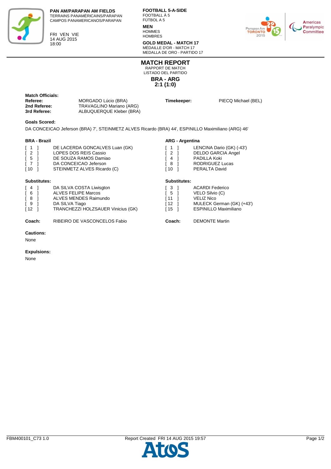

FRI VEN VIE 14 AUG 2015 18:00

**FOOTBALL 5-A-SIDE** FOOTBALL À 5 FÚTBOL A 5

#### **MEN HOMMES**

**HOMBRES** 

**GOLD MEDAL - MATCH 17** MÉDAILLE D'OR - MATCH 17 MEDALLA DE ORO - PARTIDO 17



**BRA - ARG 2:1 (1:0) MATCH REPORT** RAPPORT DE MATCH LISTADO DEL PARTIDO

| <b>Match Officials:</b> |                          |             |                     |
|-------------------------|--------------------------|-------------|---------------------|
| Referee:                | MORGADO Lúcio (BRA)      | Timekeeper: | PIECQ Michael (BEL) |
| 2nd Referee:            | TRAVAGLINO Mariano (ARG) |             |                     |
| 3rd Referee:            | ALBUQUERQUE Kleber (BRA) |             |                     |
|                         |                          |             |                     |

#### **Goals Scored:**

DA CONCEICAO Jeferson (BRA) 7', STEINMETZ ALVES Ricardo (BRA) 44', ESPINILLO Maximiliano (ARG) 46'

#### **BRA - Brazil**

|                                                                     |                                                                                                                                          | AND AVIONME                    |                                                                                                            |
|---------------------------------------------------------------------|------------------------------------------------------------------------------------------------------------------------------------------|--------------------------------|------------------------------------------------------------------------------------------------------------|
| $\sqrt{1}$<br>$\sqrt{2}$<br>$\sqrt{5}$<br>$\sqrt{7}$<br>$\sqrt{10}$ | DE LACERDA GONCALVES Luan (GK)<br>LOPES DOS REIS Cassio<br>DE SOUZA RAMOS Damiao<br>DA CONCEICAO Jeferson<br>STEINMETZ ALVES Ricardo (C) | [ 1<br>[ 2<br>4<br>[ 8<br>[ 10 | LENCINA Dario (GK) (-43')<br><b>DELDO GARCIA Angel</b><br>PADILLA Koki<br>RODRIGUEZ Lucas<br>PERALTA David |
| Substitutes:                                                        |                                                                                                                                          | Substitutes:                   |                                                                                                            |
| [ 4<br>6 <sup>1</sup>                                               | DA SILVA COSTA Liwisgton<br><b>ALVES FELIPE Marcos</b>                                                                                   | ſЗ<br>ſ5.                      | <b>ACARDI Federico</b><br>VELO Silvio (C)                                                                  |
| [ 8                                                                 | ALVES MENDES Raimundo                                                                                                                    | ſ 11                           | <b>VELIZ Nico</b>                                                                                          |

| .                                  |                                    |
|------------------------------------|------------------------------------|
| $\begin{bmatrix} 6 \end{bmatrix}$  | <b>ALVES FELIPE Marcos</b>         |
| [ 8                                | ALVES MENDES Raimundo              |
| I 9                                | DA SILVA Tiago                     |
| $\begin{bmatrix} 12 \end{bmatrix}$ | TRANCHEZZI HOLZSAUER Vinicius (GK) |
|                                    |                                    |

**Coach:** RIBEIRO DE VASCONCELOS Fabio **Coach:** DEMONTE Martin

#### **Cautions:**

None

#### **Expulsions:**

None

## **ARG - Argentina**

| ſЗ        | <b>ACARDI Federico</b>       |
|-----------|------------------------------|
| - 5       | VELO Silvio (C)              |
| l 11      | <b>VELIZ Nico</b>            |
| <b>12</b> | MULECK German (GK) (+43')    |
| l 15      | <b>ESPINILLO Maximiliano</b> |
|           |                              |